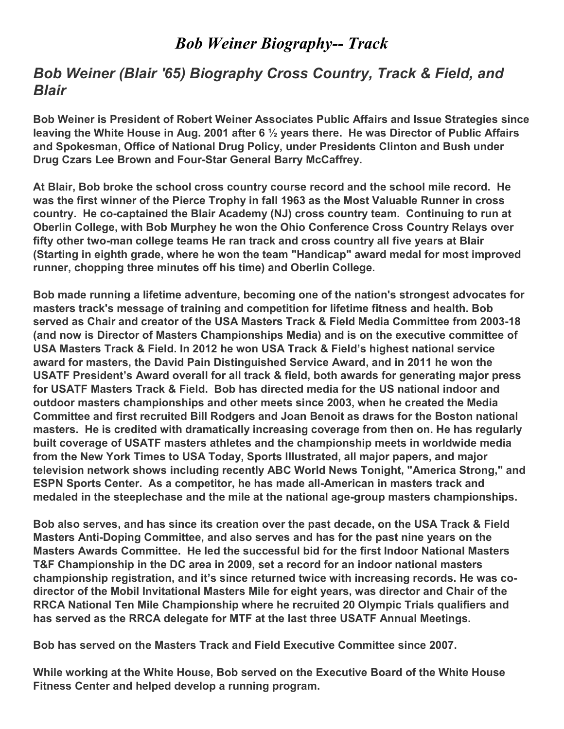## Bob Weiner Biography-- Track

## Bob Weiner (Blair '65) Biography Cross Country, Track & Field, and Blair

Bob Weiner is President of Robert Weiner Associates Public Affairs and Issue Strategies since leaving the White House in Aug. 2001 after 6 ½ years there. He was Director of Public Affairs and Spokesman, Office of National Drug Policy, under Presidents Clinton and Bush under Drug Czars Lee Brown and Four-Star General Barry McCaffrey.

At Blair, Bob broke the school cross country course record and the school mile record. He was the first winner of the Pierce Trophy in fall 1963 as the Most Valuable Runner in cross country. He co-captained the Blair Academy (NJ) cross country team. Continuing to run at Oberlin College, with Bob Murphey he won the Ohio Conference Cross Country Relays over fifty other two-man college teams He ran track and cross country all five years at Blair (Starting in eighth grade, where he won the team "Handicap" award medal for most improved runner, chopping three minutes off his time) and Oberlin College.

Bob made running a lifetime adventure, becoming one of the nation's strongest advocates for masters track's message of training and competition for lifetime fitness and health. Bob served as Chair and creator of the USA Masters Track & Field Media Committee from 2003-18 (and now is Director of Masters Championships Media) and is on the executive committee of USA Masters Track & Field. In 2012 he won USA Track & Field's highest national service award for masters, the David Pain Distinguished Service Award, and in 2011 he won the USATF President's Award overall for all track & field, both awards for generating major press for USATF Masters Track & Field. Bob has directed media for the US national indoor and outdoor masters championships and other meets since 2003, when he created the Media Committee and first recruited Bill Rodgers and Joan Benoit as draws for the Boston national masters. He is credited with dramatically increasing coverage from then on. He has regularly built coverage of USATF masters athletes and the championship meets in worldwide media from the New York Times to USA Today, Sports Illustrated, all major papers, and major television network shows including recently ABC World News Tonight, "America Strong," and ESPN Sports Center. As a competitor, he has made all-American in masters track and medaled in the steeplechase and the mile at the national age-group masters championships.

Bob also serves, and has since its creation over the past decade, on the USA Track & Field Masters Anti-Doping Committee, and also serves and has for the past nine years on the Masters Awards Committee. He led the successful bid for the first Indoor National Masters T&F Championship in the DC area in 2009, set a record for an indoor national masters championship registration, and it's since returned twice with increasing records. He was codirector of the Mobil Invitational Masters Mile for eight years, was director and Chair of the RRCA National Ten Mile Championship where he recruited 20 Olympic Trials qualifiers and has served as the RRCA delegate for MTF at the last three USATF Annual Meetings.

Bob has served on the Masters Track and Field Executive Committee since 2007.

While working at the White House, Bob served on the Executive Board of the White House Fitness Center and helped develop a running program.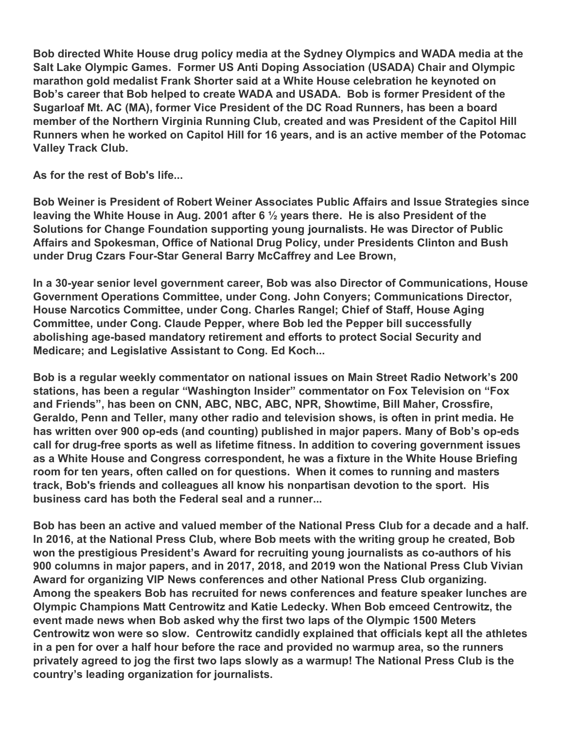Bob directed White House drug policy media at the Sydney Olympics and WADA media at the Salt Lake Olympic Games. Former US Anti Doping Association (USADA) Chair and Olympic marathon gold medalist Frank Shorter said at a White House celebration he keynoted on Bob's career that Bob helped to create WADA and USADA. Bob is former President of the Sugarloaf Mt. AC (MA), former Vice President of the DC Road Runners, has been a board member of the Northern Virginia Running Club, created and was President of the Capitol Hill Runners when he worked on Capitol Hill for 16 years, and is an active member of the Potomac Valley Track Club.

As for the rest of Bob's life...

Bob Weiner is President of Robert Weiner Associates Public Affairs and Issue Strategies since leaving the White House in Aug. 2001 after 6 ½ years there. He is also President of the Solutions for Change Foundation supporting young journalists. He was Director of Public Affairs and Spokesman, Office of National Drug Policy, under Presidents Clinton and Bush under Drug Czars Four-Star General Barry McCaffrey and Lee Brown,

In a 30-year senior level government career, Bob was also Director of Communications, House Government Operations Committee, under Cong. John Conyers; Communications Director, House Narcotics Committee, under Cong. Charles Rangel; Chief of Staff, House Aging Committee, under Cong. Claude Pepper, where Bob led the Pepper bill successfully abolishing age-based mandatory retirement and efforts to protect Social Security and Medicare; and Legislative Assistant to Cong. Ed Koch...

Bob is a regular weekly commentator on national issues on Main Street Radio Network's 200 stations, has been a regular "Washington Insider" commentator on Fox Television on "Fox and Friends", has been on CNN, ABC, NBC, ABC, NPR, Showtime, Bill Maher, Crossfire, Geraldo, Penn and Teller, many other radio and television shows, is often in print media. He has written over 900 op-eds (and counting) published in major papers. Many of Bob's op-eds call for drug-free sports as well as lifetime fitness. In addition to covering government issues as a White House and Congress correspondent, he was a fixture in the White House Briefing room for ten years, often called on for questions. When it comes to running and masters track, Bob's friends and colleagues all know his nonpartisan devotion to the sport. His business card has both the Federal seal and a runner...

Bob has been an active and valued member of the National Press Club for a decade and a half. In 2016, at the National Press Club, where Bob meets with the writing group he created, Bob won the prestigious President's Award for recruiting young journalists as co-authors of his 900 columns in major papers, and in 2017, 2018, and 2019 won the National Press Club Vivian Award for organizing VIP News conferences and other National Press Club organizing. Among the speakers Bob has recruited for news conferences and feature speaker lunches are Olympic Champions Matt Centrowitz and Katie Ledecky. When Bob emceed Centrowitz, the event made news when Bob asked why the first two laps of the Olympic 1500 Meters Centrowitz won were so slow. Centrowitz candidly explained that officials kept all the athletes in a pen for over a half hour before the race and provided no warmup area, so the runners privately agreed to jog the first two laps slowly as a warmup! The National Press Club is the country's leading organization for journalists.